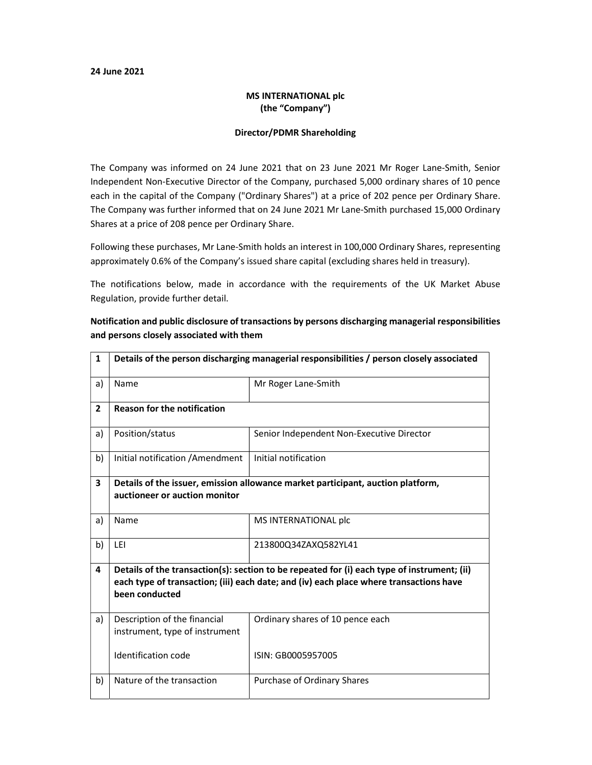## 24 June 2021

## MS INTERNATIONAL plc (the "Company")

## Director/PDMR Shareholding

The Company was informed on 24 June 2021 that on 23 June 2021 Mr Roger Lane-Smith, Senior Independent Non-Executive Director of the Company, purchased 5,000 ordinary shares of 10 pence each in the capital of the Company ("Ordinary Shares") at a price of 202 pence per Ordinary Share. The Company was further informed that on 24 June 2021 Mr Lane-Smith purchased 15,000 Ordinary Shares at a price of 208 pence per Ordinary Share.

Following these purchases, Mr Lane-Smith holds an interest in 100,000 Ordinary Shares, representing approximately 0.6% of the Company's issued share capital (excluding shares held in treasury).

The notifications below, made in accordance with the requirements of the UK Market Abuse Regulation, provide further detail.

| 1                       | Details of the person discharging managerial responsibilities / person closely associated                                                                                                               |                                           |
|-------------------------|---------------------------------------------------------------------------------------------------------------------------------------------------------------------------------------------------------|-------------------------------------------|
| a)                      | Name                                                                                                                                                                                                    | Mr Roger Lane-Smith                       |
| $\overline{2}$          | <b>Reason for the notification</b>                                                                                                                                                                      |                                           |
| a)                      | Position/status                                                                                                                                                                                         | Senior Independent Non-Executive Director |
| b)                      | Initial notification / Amendment                                                                                                                                                                        | Initial notification                      |
| $\overline{\mathbf{3}}$ | Details of the issuer, emission allowance market participant, auction platform,<br>auctioneer or auction monitor                                                                                        |                                           |
| a)                      | Name                                                                                                                                                                                                    | MS INTERNATIONAL plc                      |
| b)                      | LEI                                                                                                                                                                                                     | 213800Q34ZAXQ582YL41                      |
| 4                       | Details of the transaction(s): section to be repeated for (i) each type of instrument; (ii)<br>each type of transaction; (iii) each date; and (iv) each place where transactions have<br>been conducted |                                           |
| a)                      | Description of the financial<br>instrument, type of instrument                                                                                                                                          | Ordinary shares of 10 pence each          |
|                         | Identification code                                                                                                                                                                                     | ISIN: GB0005957005                        |
| b)                      | Nature of the transaction                                                                                                                                                                               | Purchase of Ordinary Shares               |

Notification and public disclosure of transactions by persons discharging managerial responsibilities and persons closely associated with them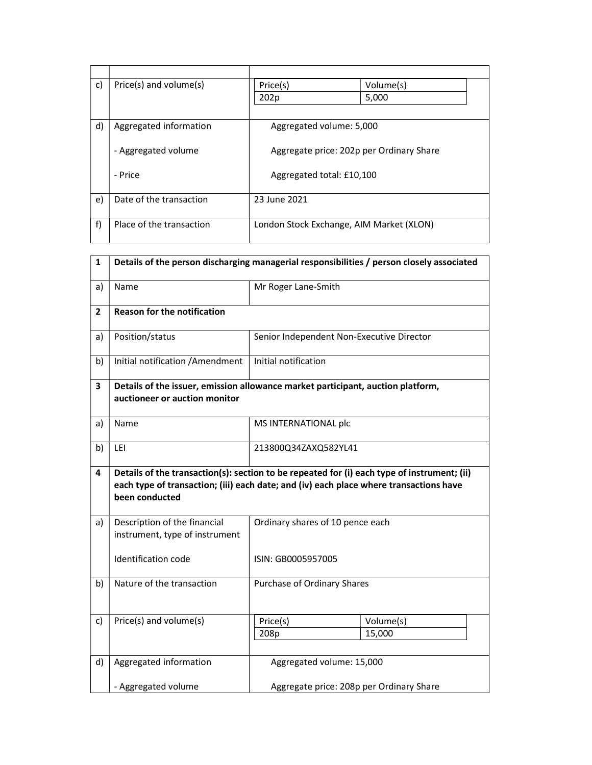| c) | Price(s) and volume(s)   | Price(s)                                 | Volume(s) |
|----|--------------------------|------------------------------------------|-----------|
|    |                          | 202p                                     | 5,000     |
|    |                          |                                          |           |
| d) | Aggregated information   | Aggregated volume: 5,000                 |           |
|    |                          |                                          |           |
|    | - Aggregated volume      | Aggregate price: 202p per Ordinary Share |           |
|    |                          |                                          |           |
|    | - Price                  | Aggregated total: £10,100                |           |
|    |                          |                                          |           |
| e) | Date of the transaction  | 23 June 2021                             |           |
|    |                          |                                          |           |
| f) | Place of the transaction | London Stock Exchange, AIM Market (XLON) |           |
|    |                          |                                          |           |

| $\mathbf{1}$ | Details of the person discharging managerial responsibilities / person closely associated                                                                                                               |                                           |                     |
|--------------|---------------------------------------------------------------------------------------------------------------------------------------------------------------------------------------------------------|-------------------------------------------|---------------------|
| a)           | Name                                                                                                                                                                                                    | Mr Roger Lane-Smith                       |                     |
| $\mathbf{2}$ | <b>Reason for the notification</b>                                                                                                                                                                      |                                           |                     |
| a)           | Position/status                                                                                                                                                                                         | Senior Independent Non-Executive Director |                     |
| b)           | Initial notification / Amendment                                                                                                                                                                        | Initial notification                      |                     |
| 3            | Details of the issuer, emission allowance market participant, auction platform,<br>auctioneer or auction monitor                                                                                        |                                           |                     |
| a)           | Name                                                                                                                                                                                                    | MS INTERNATIONAL plc                      |                     |
| b)           | LEI                                                                                                                                                                                                     | 213800Q34ZAXQ582YL41                      |                     |
| 4            | Details of the transaction(s): section to be repeated for (i) each type of instrument; (ii)<br>each type of transaction; (iii) each date; and (iv) each place where transactions have<br>been conducted |                                           |                     |
| a)           | Description of the financial<br>instrument, type of instrument                                                                                                                                          | Ordinary shares of 10 pence each          |                     |
|              | Identification code                                                                                                                                                                                     | ISIN: GB0005957005                        |                     |
| b)           | Nature of the transaction                                                                                                                                                                               | Purchase of Ordinary Shares               |                     |
| c)           | Price(s) and volume(s)                                                                                                                                                                                  | Price(s)<br>208p                          | Volume(s)<br>15,000 |
| d)           | Aggregated information                                                                                                                                                                                  | Aggregated volume: 15,000                 |                     |
|              | - Aggregated volume                                                                                                                                                                                     | Aggregate price: 208p per Ordinary Share  |                     |